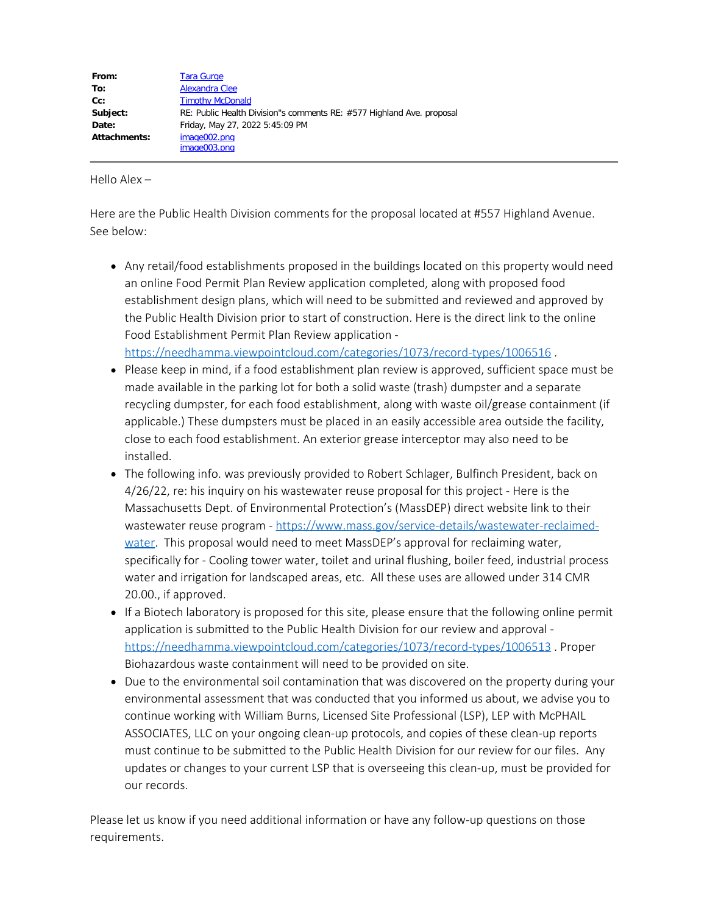| <b>Tara Gurge</b>                                                     |
|-----------------------------------------------------------------------|
| Alexandra Clee                                                        |
| <b>Timothy McDonald</b>                                               |
| RE: Public Health Division"s comments RE: #577 Highland Ave. proposal |
| Friday, May 27, 2022 5:45:09 PM                                       |
| image002.png                                                          |
| image003.pnq                                                          |
|                                                                       |

Hello Alex –

Here are the Public Health Division comments for the proposal located at #557 Highland Avenue. See below:

- Any retail/food establishments proposed in the buildings located on this property would need an online Food Permit Plan Review application completed, along with proposed food establishment design plans, which will need to be submitted and reviewed and approved by the Public Health Division prior to start of construction. Here is the direct link to the online Food Establishment Permit Plan Review application <https://needhamma.viewpointcloud.com/categories/1073/record-types/1006516> .
- Please keep in mind, if a food establishment plan review is approved, sufficient space must be made available in the parking lot for both a solid waste (trash) dumpster and a separate recycling dumpster, for each food establishment, along with waste oil/grease containment (if applicable.) These dumpsters must be placed in an easily accessible area outside the facility, close to each food establishment. An exterior grease interceptor may also need to be installed.
- The following info. was previously provided to Robert Schlager, Bulfinch President, back on 4/26/22, re: his inquiry on his wastewater reuse proposal for this project - Here is the Massachusetts Dept. of Environmental Protection's (MassDEP) direct website link to their wastewater reuse program - [https://www.mass.gov/service-details/wastewater-reclaimed](https://www.mass.gov/service-details/wastewater-reclaimed-water)[water](https://www.mass.gov/service-details/wastewater-reclaimed-water). This proposal would need to meet MassDEP's approval for reclaiming water, specifically for - Cooling tower water, toilet and urinal flushing, boiler feed, industrial process water and irrigation for landscaped areas, etc. All these uses are allowed under 314 CMR 20.00., if approved.
- If a Biotech laboratory is proposed for this site, please ensure that the following online permit application is submitted to the Public Health Division for our review and approval <https://needhamma.viewpointcloud.com/categories/1073/record-types/1006513> . Proper Biohazardous waste containment will need to be provided on site.
- Due to the environmental soil contamination that was discovered on the property during your environmental assessment that was conducted that you informed us about, we advise you to continue working with William Burns, Licensed Site Professional (LSP), LEP with McPHAIL ASSOCIATES, LLC on your ongoing clean-up protocols, and copies of these clean-up reports must continue to be submitted to the Public Health Division for our review for our files. Any updates or changes to your current LSP that is overseeing this clean-up, must be provided for our records.

Please let us know if you need additional information or have any follow-up questions on those requirements.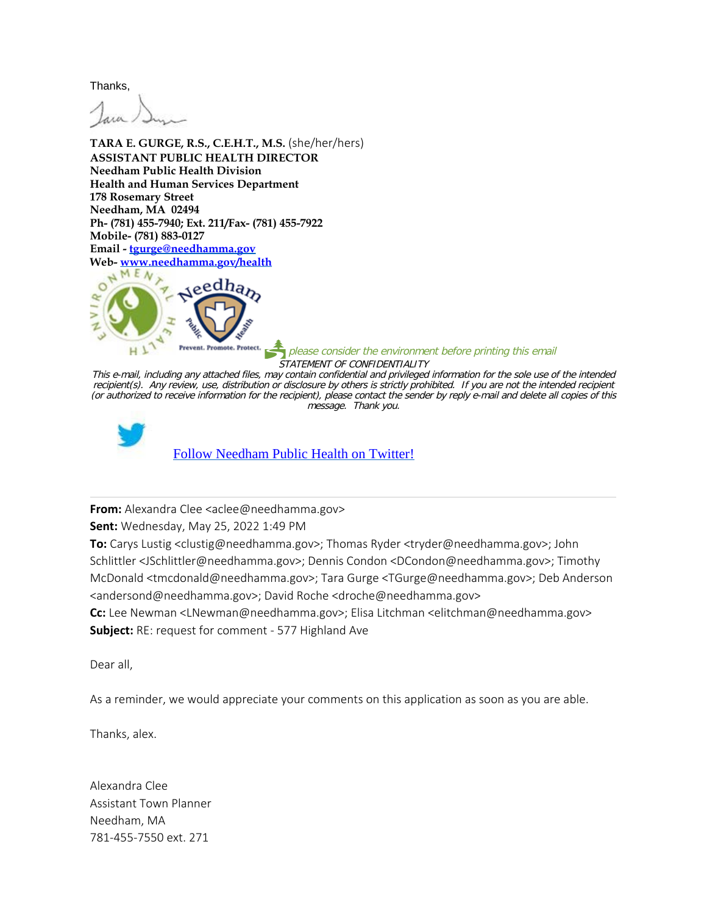Thanks,

**TARA E. GURGE, R.S., C.E.H.T., M.S.** (she/her/hers) **ASSISTANT PUBLIC HEALTH DIRECTOR Needham Public Health Division Health and Human Services Department 178 Rosemary Street Needham, MA 02494 Ph- (781) 455-7940; Ext. 211/Fax- (781) 455-7922 Mobile- (781) 883-0127 Email - [tgurge@needhamma.gov](mailto:tgurge@needhamma.gov) Web- [www.needhamma.gov/health](http://www.needhamma.gov/health)**



 $\overline{\phantom{a}}$  please consider the environment before printing this email STATEMENT OF CONFIDENTIALITY

This e-mail, including any attached files, may contain confidential and privileged information for the sole use of the intended recipient(s). Any review, use, distribution or disclosure by others is strictly prohibited. If you are not the intended recipient (or authorized to receive information for the recipient), please contact the sender by reply e-mail and delete all copies of this message. Thank you.



**From:** Alexandra Clee <aclee@needhamma.gov>

**Sent:** Wednesday, May 25, 2022 1:49 PM

**To:** Carys Lustig <clustig@needhamma.gov>; Thomas Ryder <tryder@needhamma.gov>; John Schlittler <JSchlittler@needhamma.gov>; Dennis Condon <DCondon@needhamma.gov>; Timothy McDonald <tmcdonald@needhamma.gov>; Tara Gurge <TGurge@needhamma.gov>; Deb Anderson <andersond@needhamma.gov>; David Roche <droche@needhamma.gov>

**Cc:** Lee Newman <LNewman@needhamma.gov>; Elisa Litchman <elitchman@needhamma.gov> **Subject:** RE: request for comment - 577 Highland Ave

Dear all,

As a reminder, we would appreciate your comments on this application as soon as you are able.

Thanks, alex.

Alexandra Clee Assistant Town Planner Needham, MA 781-455-7550 ext. 271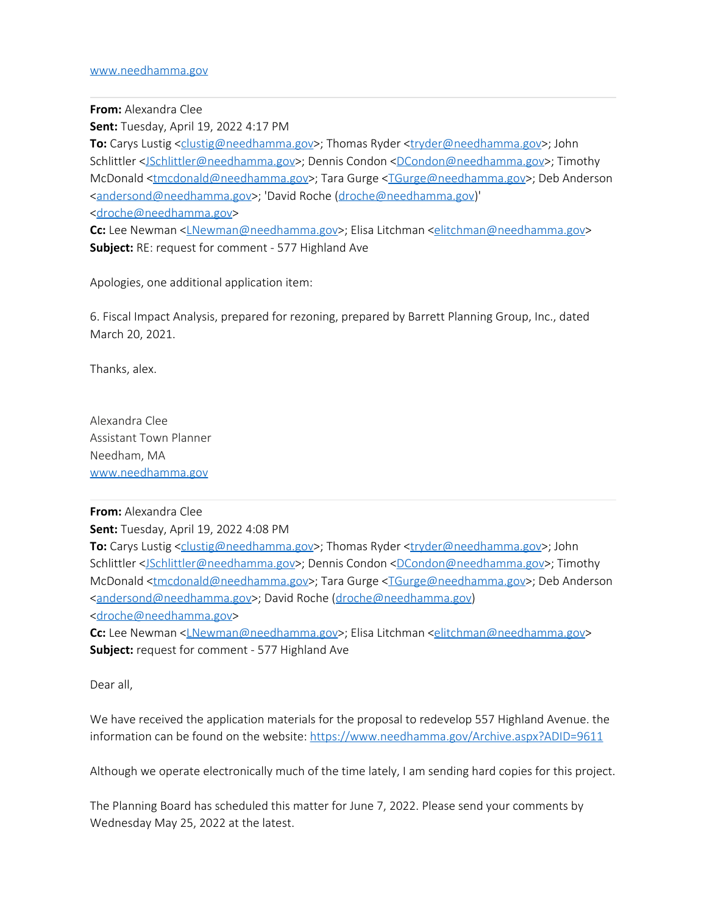## [www.needhamma.gov](http://www.needhamma.gov/)

**From:** Alexandra Clee

**Sent:** Tuesday, April 19, 2022 4:17 PM

**To:** Carys Lustig <[clustig@needhamma.gov>](mailto:clustig@needhamma.gov); Thomas Ryder [<tryder@needhamma.gov](mailto:tryder@needhamma.gov)>; John Schlittler [<JSchlittler@needhamma.gov](mailto:JSchlittler@needhamma.gov)>; Dennis Condon <[DCondon@needhamma.gov>](mailto:DCondon@needhamma.gov); Timothy McDonald [<tmcdonald@needhamma.gov](mailto:tmcdonald@needhamma.gov)>; Tara Gurge [<TGurge@needhamma.gov](mailto:TGurge@needhamma.gov)>; Deb Anderson [<andersond@needhamma.gov](mailto:andersond@needhamma.gov)>; 'David Roche [\(droche@needhamma.gov](mailto:droche@needhamma.gov))' [<droche@needhamma.gov](mailto:droche@needhamma.gov)>

**Cc:** Lee Newman [<LNewman@needhamma.gov](mailto:LNewman@needhamma.gov)>; Elisa Litchman [<elitchman@needhamma.gov>](mailto:elitchman@needhamma.gov) **Subject:** RE: request for comment - 577 Highland Ave

Apologies, one additional application item:

6. Fiscal Impact Analysis, prepared for rezoning, prepared by Barrett Planning Group, Inc., dated March 20, 2021.

Thanks, alex.

Alexandra Clee Assistant Town Planner Needham, MA [www.needhamma.gov](https://linkprotect.cudasvc.com/url?a=http%3a%2f%2fwww.needhamma.gov&c=E,1,UUWNFE2VwXQLL8spMr7tQ1VmEE-Z4Zs-UYSWj9a3mi6xbvDywyWIDScphMB6DU09ukFO_XVboQsIIbrJZ0fPlAMNRPA8eSfihsFROcb4_iiHus0Kp35W&typo=1)

## **From:** Alexandra Clee

**Sent:** Tuesday, April 19, 2022 4:08 PM

**To:** Carys Lustig <[clustig@needhamma.gov>](mailto:clustig@needhamma.gov); Thomas Ryder [<tryder@needhamma.gov](mailto:tryder@needhamma.gov)>; John Schlittler [<JSchlittler@needhamma.gov](mailto:JSchlittler@needhamma.gov)>; Dennis Condon <[DCondon@needhamma.gov>](mailto:DCondon@needhamma.gov); Timothy McDonald [<tmcdonald@needhamma.gov](mailto:tmcdonald@needhamma.gov)>; Tara Gurge [<TGurge@needhamma.gov](mailto:TGurge@needhamma.gov)>; Deb Anderson [<andersond@needhamma.gov](mailto:andersond@needhamma.gov)>; David Roche [\(droche@needhamma.gov](mailto:droche@needhamma.gov)) [<droche@needhamma.gov](mailto:droche@needhamma.gov)>

**Cc:** Lee Newman [<LNewman@needhamma.gov](mailto:LNewman@needhamma.gov)>; Elisa Litchman [<elitchman@needhamma.gov>](mailto:elitchman@needhamma.gov) **Subject:** request for comment - 577 Highland Ave

Dear all,

We have received the application materials for the proposal to redevelop 557 Highland Avenue. the information can be found on the website: <https://www.needhamma.gov/Archive.aspx?ADID=9611>

Although we operate electronically much of the time lately, I am sending hard copies for this project.

The Planning Board has scheduled this matter for June 7, 2022. Please send your comments by Wednesday May 25, 2022 at the latest.